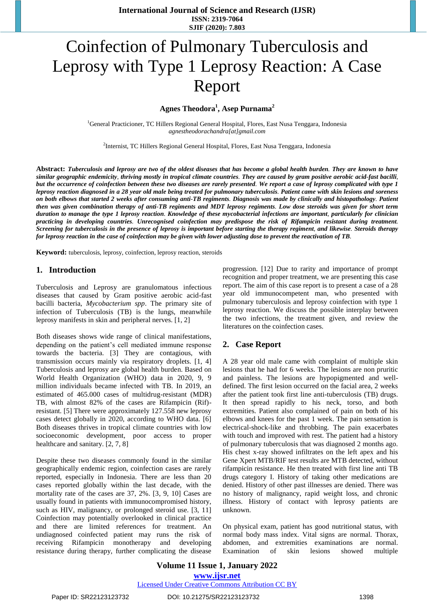**International Journal of Science and Research (IJSR) ISSN: 2319-7064 SJIF (2020): 7.803**

# Coinfection of Pulmonary Tuberculosis and Leprosy with Type 1 Leprosy Reaction: A Case Report

**Agnes Theodora<sup>1</sup> , Asep Purnama<sup>2</sup>**

<sup>1</sup>General Practicioner, TC Hillers Regional General Hospital, Flores, East Nusa [Tenggara, Indonesia](mailto:agnestheodorachandra@gmail.com) *[agnestheodorachandra\[at\]gmail.com](mailto:agnestheodorachandra@gmail.com)*

<sup>2</sup>Internist, TC Hillers Regional General Hospital, Flores, East Nusa Tenggara, Indonesia

Abstract: Tuberculosis and leprosy are two of the oldest diseases that has become a global health burden. They are known to have similar geographic endemicity, thriving mostly in tropical climate countries. They are caused by gram positive aerobic acid-fast bacilli, but the occurrence of coinfection between these two diseases are rarely presented. We report a case of leprosy complicated with type 1 leprosy reaction diagnosed in a 28 year old male being treated for pulmonary tuberculosis. Patient came with skin lesions and soreness on both elbows that started 2 weeks after consuming anti-TB regiments. Diagnosis was made by clinically and histopathology. Patient then was given combination therapy of anti-TB regiments and MDT leprosy regiments. Low dose steroids was given for short term duration to manage the type 1 leprosy reaction. Knowledge of these mycobacterial infections are important, particularly for clinician practicing in developing countries. Unrecognised coinfection may predispose the risk of Rifampicin resistant during treatment. Screening for tuberculosis in the presence of leprosy is important before starting the therapy regiment, and likewise. Steroids therapy for leprosy reaction in the case of coinfection may be given with lower adjusting dose to prevent the reactivation of TB.

**Keyword:** tuberculosis, leprosy, coinfection, leprosy reaction, steroids

### **1. Introduction**

Tuberculosis and Leprosy are granulomatous infectious diseases that caused by Gram positive aerobic acid-fast bacilli bacteria, *Mycobacterium spp*. The primary site of infection of Tuberculosis (TB) is the lungs, meanwhile leprosy manifests in skin and peripheral nerves. [1, 2]

Both diseases shows wide range of clinical manifestations, depending on the patient's cell mediated immune response towards the bacteria. [3] They are contagious, with transmission occurs mainly via respiratory droplets. [1, 4] Tuberculosis and leprosy are global health burden. Based on World Health Organization (WHO) data in 2020, 9, 9 million individuals became infected with TB. In 2019, an estimated of 465.000 cases of multidrug-resistant (MDR) TB, with almost 82% of the cases are Rifampicin (Rif) resistant. [5] There were approximately 127.558 new leprosy cases detect globally in 2020, according to WHO data. [6] Both diseases thrives in tropical climate countries with low socioeconomic development, poor access to proper healthcare and sanitary. [2, 7, 8]

Despite these two diseases commonly found in the similar geographically endemic region, coinfection cases are rarely reported, especially in Indonesia. There are less than 20 cases reported globally within the last decade, with the mortality rate of the cases are 37, 2%. [3, 9, 10] Cases are usually found in patients with immunocompromised history, such as HIV, malignancy, or prolonged steroid use. [3, 11] Coinfection may potentially overlooked in clinical practice and there are limited references for treatment. An undiagnosed coinfected patient may runs the risk of receiving Rifampicin monotherapy and developing resistance during therapy, further complicating the disease

progression. [12] Due to rarity and importance of prompt recognition and proper treatment, we are presenting this case report. The aim of this case report is to present a case of a 28 year old immunocompetent man, who presented with pulmonary tuberculosis and leprosy coinfection with type 1 leprosy reaction. We discuss the possible interplay between the two infections, the treatment given, and review the literatures on the coinfection cases.

### **2. Case Report**

A 28 year old male came with complaint of multiple skin lesions that he had for 6 weeks. The lesions are non pruritic and painless. The lesions are hypopigmented and welldefined. The first lesion occurred on the facial area, 2 weeks after the patient took first line anti-tuberculosis (TB) drugs. It then spread rapidly to his neck, torso, and both extremities. Patient also complained of pain on both of his elbows and knees for the past 1 week. The pain sensation is electrical-shock-like and throbbing. The pain exacerbates with touch and improved with rest. The patient had a history of pulmonary tuberculosis that was diagnosed 2 months ago. His chest x-ray showed infiltrates on the left apex and his Gene Xpert MTB/RIF test results are MTB detected, without rifampicin resistance. He then treated with first line anti TB drugs category I. History of taking other medications are denied. History of other past illnesses are denied. There was no history of malignancy, rapid weight loss, and chronic illness. History of contact with leprosy patients are unknown.

On physical exam, patient has good nutritional status, with normal body mass index. Vital signs are normal. Thorax, abdomen, and extremities examinations are normal. Examination of skin lesions showed multiple

Paper ID: SR22123123732 DOI: 10.21275/SR22123123732 1398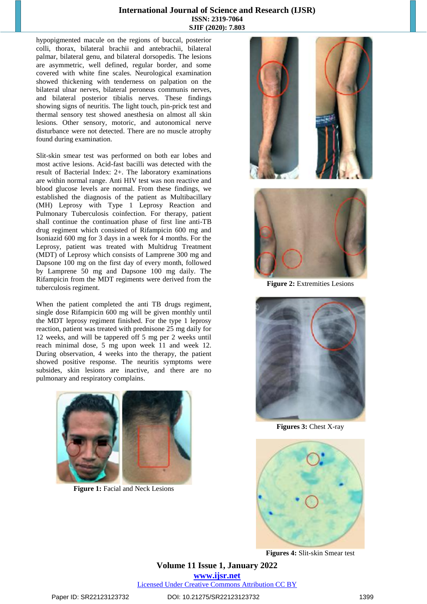### **International Journal of Science and Research (IJSR) ISSN: 2319-7064 SJIF (2020): 7.803**

hypopigmented macule on the regions of buccal, posterior colli, thorax, bilateral brachii and antebrachii, bilateral palmar, bilateral genu, and bilateral dorsopedis. The lesions are asymmetric, well defined, regular border, and some covered with white fine scales. Neurological examination showed thickening with tenderness on palpation on the bilateral ulnar nerves, bilateral peroneus communis nerves, and bilateral posterior tibialis nerves. These findings showing signs of neuritis. The light touch, pin-prick test and thermal sensory test showed anesthesia on almost all skin lesions. Other sensory, motoric, and autonomical nerve disturbance were not detected. There are no muscle atrophy found during examination.

Slit-skin smear test was performed on both ear lobes and most active lesions. Acid-fast bacilli was detected with the result of Bacterial Index: 2+. The laboratory examinations are within normal range. Anti HIV test was non reactive and blood glucose levels are normal. From these findings, we established the diagnosis of the patient as Multibacillary (MH) Leprosy with Type 1 Leprosy Reaction and Pulmonary Tuberculosis coinfection. For therapy, patient shall continue the continuation phase of first line anti-TB drug regiment which consisted of Rifampicin 600 mg and Isoniazid 600 mg for 3 days in a week for 4 months. For the Leprosy, patient was treated with Multidrug Treatment (MDT) of Leprosy which consists of Lamprene 300 mg and Dapsone 100 mg on the first day of every month, followed by Lamprene 50 mg and Dapsone 100 mg daily. The Rifampicin from the MDT regiments were derived from the tuberculosis regiment.

When the patient completed the anti TB drugs regiment, single dose Rifampicin 600 mg will be given monthly until the MDT leprosy regiment finished. For the type 1 leprosy reaction, patient was treated with prednisone 25 mg daily for 12 weeks, and will be tappered off 5 mg per 2 weeks until reach minimal dose, 5 mg upon week 11 and week 12. During observation, 4 weeks into the therapy, the patient showed positive response. The neuritis symptoms were subsides, skin lesions are inactive, and there are no pulmonary and respiratory complains.



**Figure 1:** Facial and Neck Lesions





**Figure 2:** Extremities Lesions



**Figures 3:** Chest X-ray



**Figures 4:** Slit-skin Smear test

**Volume 11 Issue 1, January 2022 www.ijsr.net** Licensed Under Creative Commons Attribution CC BY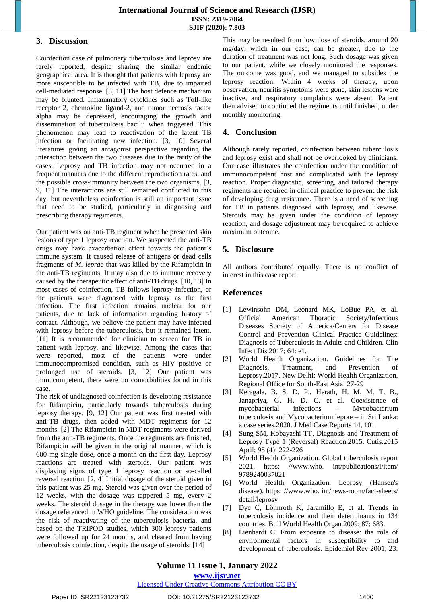## **International Journal of Science and Research (IJSR) ISSN: 2319-7064 SJIF (2020): 7.803**

## **3. Discussion**

Coinfection case of pulmonary tuberculosis and leprosy are rarely reported, despite sharing the similar endemic geographical area. It is thought that patients with leprosy are more susceptible to be infected with TB, due to impaired cell-mediated response. [3, 11] The host defence mechanism may be blunted. Inflammatory cytokines such as Toll-like receptor 2, chemokine ligand-2, and tumor necrosis factor alpha may be depressed, encouraging the growth and dissemination of tuberculosis bacilii when triggered. This phenomenon may lead to reactivation of the latent TB infection or facilitating new infection. [3, 10] Several literatures giving an antagonist perspective regarding the interaction between the two diseases due to the rarity of the cases. Leprosy and TB infection may not occurred in a frequent manners due to the different reproduction rates, and the possible cross-immunity between the two organisms. [3, 9, 11] The interactions are still remained conflicted to this day, but nevertheless coinfection is still an important issue that need to be studied, particularly in diagnosing and prescribing therapy regiments.

Our patient was on anti-TB regiment when he presented skin lesions of type 1 leprosy reaction. We suspected the anti-TB drugs may have exacerbation effect towards the patient's immune system. It caused release of antigens or dead cells fragments of *M. leprae* that was killed by the Rifampicin in the anti-TB regiments. It may also due to immune recovery caused by the therapeutic effect of anti-TB drugs. [10, 13] In most cases of coinfection, TB follows leprosy infection, or the patients were diagnosed with leprosy as the first infection. The first infection remains unclear for our patients, due to lack of information regarding history of contact. Although, we believe the patient may have infected with leprosy before the tuberculosis, but it remained latent. [11] It is recommended for clinician to screen for TB in patient with leprosy, and likewise. Among the cases that were reported, most of the patients were under immunocompromised condition, such as HIV positive or prolonged use of steroids. [3, 12] Our patient was immucompetent, there were no comorbidities found in this case.

The risk of undiagnosed coinfection is developing resistance for Rifampicin, particularly towards tuberculosis during leprosy therapy. [9, 12] Our patient was first treated with anti-TB drugs, then added with MDT regiments for 12 months. [2] The Rifampicin in MDT regiments were derived from the anti-TB regiments. Once the regiments are finished, Rifampicin will be given in the original manner, which is 600 mg single dose, once a month on the first day. Leprosy reactions are treated with steroids. Our patient was displaying signs of type 1 leprosy reaction or so-called reversal reaction. [2, 4] Initial dosage of the steroid given in this patient was 25 mg. Steroid was given over the period of 12 weeks, with the dosage was tappered 5 mg, every 2 weeks. The steroid dosage in the therapy was lower than the dosage referenced in WHO guideline. The consideration was the risk of reactivating of the tuberculosis bacteria, and based on the TRIPOD studies, which 300 leprosy patients were followed up for 24 months, and cleared from having tuberculosis coinfection, despite the usage of steroids. [14]

This may be resulted from low dose of steroids, around 20 mg/day, which in our case, can be greater, due to the duration of treatment was not long. Such dosage was given to our patient, while we closely monitored the responses. The outcome was good, and we managed to subsides the leprosy reaction. Within 4 weeks of therapy, upon observation, neuritis symptoms were gone, skin lesions were inactive, and respiratory complaints were absent. Patient then advised to continued the regiments until finished, under monthly monitoring.

# **4. Conclusion**

Although rarely reported, coinfection between tuberculosis and leprosy exist and shall not be overlooked by clinicians. Our case illustrates the coinfection under the condition of immunocompetent host and complicated with the leprosy reaction. Proper diagnostic, screening, and tailored therapy regiments are required in clinical practice to prevent the risk of developing drug resistance. There is a need of screening for TB in patients diagnosed with leprosy, and likewise. Steroids may be given under the condition of leprosy reaction, and dosage adjustment may be required to achieve maximum outcome.

# **5. Disclosure**

All authors contributed equally. There is no conflict of interest in this case report.

## **References**

- [1] Lewinsohn DM, Leonard MK, LoBue PA, et al. Official American Thoracic Society/Infectious Diseases Society of America/Centers for Disease Control and Prevention Clinical Practice Guidelines: Diagnosis of Tuberculosis in Adults and Children. Clin Infect Dis 2017; 64: e1.
- [2] World Health Organization. Guidelines for The Diagnosis, Treatment, and Prevention of Leprosy.2017. New Delhi: World Health Organization, Regional Office for South-East Asia; 27-29
- [3] Keragala, B. S. D. P., Herath, H. M. M. T. B., Janapriya, G. H. D. C. et al. Coexistence of mycobacterial infections – Mycobacterium tuberculosis and Mycobacterium leprae – in Sri Lanka: a case series.2020. J Med Case Reports 14, 101
- [4] Sung SM, Kobayashi TT. Diagnosis and Treatment of Leprosy Type 1 (Reversal) Reaction.2015. Cutis.2015 April; 95 (4): 222-226
- [5] World Health Organization. Global tuberculosis report 2021. [https: //www.who. int/publications/i/item/](http://www.who.int/publications/i/item/) 9789240037021
- [6] World Health Organization. Leprosy (Hansen's disease). [https: //www.who. int/news-room/fact-sheets/](http://www.who.int/news-room/fact-sheets/) detail/leprosy
- [7] Dye C, Lönnroth K, Jaramillo E, et al. Trends in tuberculosis incidence and their determinants in 134 countries. Bull World Health Organ 2009; 87: 683.
- [8] Lienhardt C. From exposure to disease: the role of environmental factors in susceptibility to and development of tuberculosis. Epidemiol Rev 2001; 23:

# **Volume 11 Issue 1, January 2022**

**www.ijsr.net**

Licensed Under Creative Commons Attribution CC BY